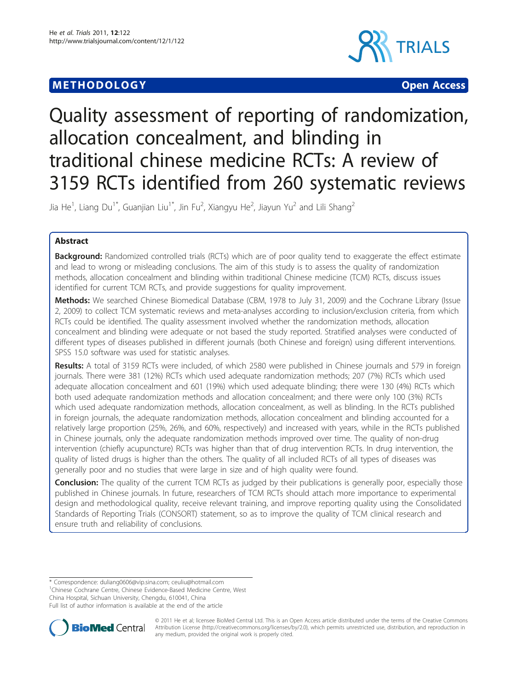# **METHODOLOGY** Open Access **Open Access**



# Quality assessment of reporting of randomization, allocation concealment, and blinding in traditional chinese medicine RCTs: A review of 3159 RCTs identified from 260 systematic reviews

Jia He $^1$ , Liang Du $^{1^\ast}$ , Guanjian Liu $^{1^\ast}$ , Jin Fu $^2$ , Xiangyu He $^2$ , Jiayun Yu $^2$  and Lili Shang $^2$ 

# Abstract

**Background:** Randomized controlled trials (RCTs) which are of poor quality tend to exaggerate the effect estimate and lead to wrong or misleading conclusions. The aim of this study is to assess the quality of randomization methods, allocation concealment and blinding within traditional Chinese medicine (TCM) RCTs, discuss issues identified for current TCM RCTs, and provide suggestions for quality improvement.

Methods: We searched Chinese Biomedical Database (CBM, 1978 to July 31, 2009) and the Cochrane Library (Issue 2, 2009) to collect TCM systematic reviews and meta-analyses according to inclusion/exclusion criteria, from which RCTs could be identified. The quality assessment involved whether the randomization methods, allocation concealment and blinding were adequate or not based the study reported. Stratified analyses were conducted of different types of diseases published in different journals (both Chinese and foreign) using different interventions. SPSS 15.0 software was used for statistic analyses.

Results: A total of 3159 RCTs were included, of which 2580 were published in Chinese journals and 579 in foreign journals. There were 381 (12%) RCTs which used adequate randomization methods; 207 (7%) RCTs which used adequate allocation concealment and 601 (19%) which used adequate blinding; there were 130 (4%) RCTs which both used adequate randomization methods and allocation concealment; and there were only 100 (3%) RCTs which used adequate randomization methods, allocation concealment, as well as blinding. In the RCTs published in foreign journals, the adequate randomization methods, allocation concealment and blinding accounted for a relatively large proportion (25%, 26%, and 60%, respectively) and increased with years, while in the RCTs published in Chinese journals, only the adequate randomization methods improved over time. The quality of non-drug intervention (chiefly acupuncture) RCTs was higher than that of drug intervention RCTs. In drug intervention, the quality of listed drugs is higher than the others. The quality of all included RCTs of all types of diseases was generally poor and no studies that were large in size and of high quality were found.

**Conclusion:** The quality of the current TCM RCTs as judged by their publications is generally poor, especially those published in Chinese journals. In future, researchers of TCM RCTs should attach more importance to experimental design and methodological quality, receive relevant training, and improve reporting quality using the Consolidated Standards of Reporting Trials (CONSORT) statement, so as to improve the quality of TCM clinical research and ensure truth and reliability of conclusions.

\* Correspondence: [duliang0606@vip.sina.com;](mailto:duliang0606@vip.sina.com) [ceuliu@hotmail.com](mailto:ceuliu@hotmail.com) <sup>1</sup>Chinese Cochrane Centre, Chinese Evidence-Based Medicine Centre, West China Hospital, Sichuan University, Chengdu, 610041, China Full list of author information is available at the end of the article



© 2011 He et al; licensee BioMed Central Ltd. This is an Open Access article distributed under the terms of the Creative Commons Attribution License [\(http://creativecommons.org/licenses/by/2.0](http://creativecommons.org/licenses/by/2.0)), which permits unrestricted use, distribution, and reproduction in any medium, provided the original work is properly cited.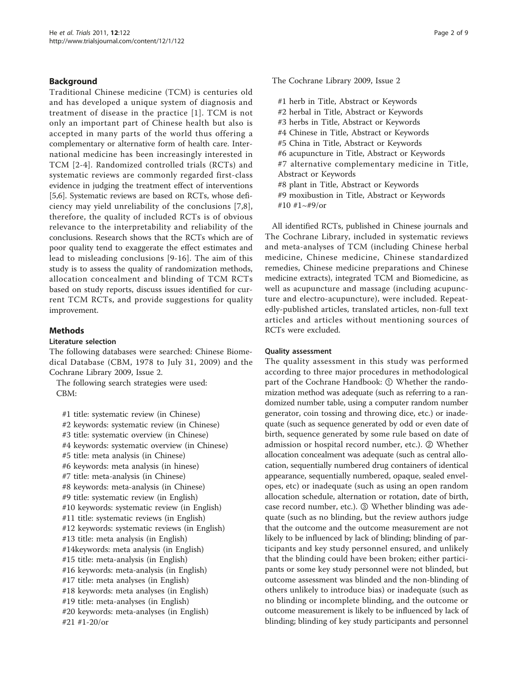# Background

Traditional Chinese medicine (TCM) is centuries old and has developed a unique system of diagnosis and treatment of disease in the practice [[1\]](#page-7-0). TCM is not only an important part of Chinese health but also is accepted in many parts of the world thus offering a complementary or alternative form of health care. International medicine has been increasingly interested in TCM [[2-4\]](#page-7-0). Randomized controlled trials (RCTs) and systematic reviews are commonly regarded first-class evidence in judging the treatment effect of interventions [[5,6\]](#page-7-0). Systematic reviews are based on RCTs, whose deficiency may yield unreliability of the conclusions [\[7,8](#page-7-0)], therefore, the quality of included RCTs is of obvious relevance to the interpretability and reliability of the conclusions. Research shows that the RCTs which are of poor quality tend to exaggerate the effect estimates and lead to misleading conclusions [[9-](#page-7-0)[16\]](#page-8-0). The aim of this study is to assess the quality of randomization methods, allocation concealment and blinding of TCM RCTs based on study reports, discuss issues identified for current TCM RCTs, and provide suggestions for quality improvement.

# Methods

#### Literature selection

The following databases were searched: Chinese Biomedical Database (CBM, 1978 to July 31, 2009) and the Cochrane Library 2009, Issue 2.

The following search strategies were used: CBM:

#1 title: systematic review (in Chinese) #2 keywords: systematic review (in Chinese) #3 title: systematic overview (in Chinese) #4 keywords: systematic overview (in Chinese) #5 title: meta analysis (in Chinese) #6 keywords: meta analysis (in hinese) #7 title: meta-analysis (in Chinese) #8 keywords: meta-analysis (in Chinese) #9 title: systematic review (in English) #10 keywords: systematic review (in English) #11 title: systematic reviews (in English) #12 keywords: systematic reviews (in English) #13 title: meta analysis (in English) #14keywords: meta analysis (in English) #15 title: meta-analysis (in English) #16 keywords: meta-analysis (in English) #17 title: meta analyses (in English) #18 keywords: meta analyses (in English) #19 title: meta-analyses (in English) #20 keywords: meta-analyses (in English) #21 #1-20/or

The Cochrane Library 2009, Issue 2

#1 herb in Title, Abstract or Keywords #2 herbal in Title, Abstract or Keywords #3 herbs in Title, Abstract or Keywords #4 Chinese in Title, Abstract or Keywords #5 China in Title, Abstract or Keywords #6 acupuncture in Title, Abstract or Keywords #7 alternative complementary medicine in Title, Abstract or Keywords #8 plant in Title, Abstract or Keywords #9 moxibustion in Title, Abstract or Keywords #10 #1~#9/or

All identified RCTs, published in Chinese journals and The Cochrane Library, included in systematic reviews and meta-analyses of TCM (including Chinese herbal medicine, Chinese medicine, Chinese standardized remedies, Chinese medicine preparations and Chinese medicine extracts), integrated TCM and Biomedicine, as well as acupuncture and massage (including acupuncture and electro-acupuncture), were included. Repeatedly-published articles, translated articles, non-full text articles and articles without mentioning sources of RCTs were excluded.

# Quality assessment

The quality assessment in this study was performed according to three major procedures in methodological part of the Cochrane Handbook: ① Whether the randomization method was adequate (such as referring to a randomized number table, using a computer random number generator, coin tossing and throwing dice, etc.) or inadequate (such as sequence generated by odd or even date of birth, sequence generated by some rule based on date of admission or hospital record number, etc.). ② Whether allocation concealment was adequate (such as central allocation, sequentially numbered drug containers of identical appearance, sequentially numbered, opaque, sealed envelopes, etc) or inadequate (such as using an open random allocation schedule, alternation or rotation, date of birth, case record number, etc.). ③ Whether blinding was adequate (such as no blinding, but the review authors judge that the outcome and the outcome measurement are not likely to be influenced by lack of blinding; blinding of participants and key study personnel ensured, and unlikely that the blinding could have been broken; either participants or some key study personnel were not blinded, but outcome assessment was blinded and the non-blinding of others unlikely to introduce bias) or inadequate (such as no blinding or incomplete blinding, and the outcome or outcome measurement is likely to be influenced by lack of blinding; blinding of key study participants and personnel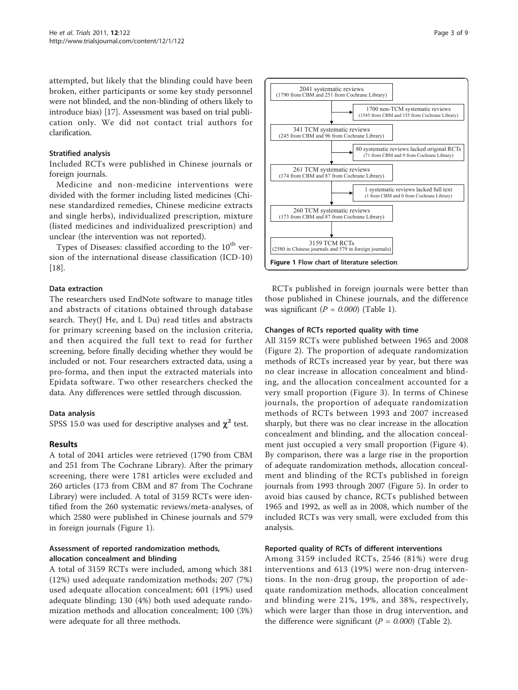attempted, but likely that the blinding could have been broken, either participants or some key study personnel were not blinded, and the non-blinding of others likely to introduce bias) [\[17\]](#page-8-0). Assessment was based on trial publication only. We did not contact trial authors for clarification.

## Stratified analysis

Included RCTs were published in Chinese journals or foreign journals.

Medicine and non-medicine interventions were divided with the former including listed medicines (Chinese standardized remedies, Chinese medicine extracts and single herbs), individualized prescription, mixture (listed medicines and individualized prescription) and unclear (the intervention was not reported).

Types of Diseases: classified according to the  $10<sup>th</sup>$  version of the international disease classification (ICD-10) [[18\]](#page-8-0).

#### Data extraction

The researchers used EndNote software to manage titles and abstracts of citations obtained through database search. They(J He, and L Du) read titles and abstracts for primary screening based on the inclusion criteria, and then acquired the full text to read for further screening, before finally deciding whether they would be included or not. Four researchers extracted data, using a pro-forma, and then input the extracted materials into Epidata software. Two other researchers checked the data. Any differences were settled through discussion.

#### Data analysis

SPSS 15.0 was used for descriptive analyses and  $\chi^2$  test.

#### Results

A total of 2041 articles were retrieved (1790 from CBM and 251 from The Cochrane Library). After the primary screening, there were 1781 articles were excluded and 260 articles (173 from CBM and 87 from The Cochrane Library) were included. A total of 3159 RCTs were identified from the 260 systematic reviews/meta-analyses, of which 2580 were published in Chinese journals and 579 in foreign journals (Figure 1).

# Assessment of reported randomization methods, allocation concealment and blinding

A total of 3159 RCTs were included, among which 381 (12%) used adequate randomization methods; 207 (7%) used adequate allocation concealment; 601 (19%) used adequate blinding; 130 (4%) both used adequate randomization methods and allocation concealment; 100 (3%) were adequate for all three methods.



RCTs published in foreign journals were better than those published in Chinese journals, and the difference was significant  $(P = 0.000)$  (Table [1\)](#page-3-0).

#### Changes of RCTs reported quality with time

All 3159 RCTs were published between 1965 and 2008 (Figure [2\)](#page-3-0). The proportion of adequate randomization methods of RCTs increased year by year, but there was no clear increase in allocation concealment and blinding, and the allocation concealment accounted for a very small proportion (Figure [3](#page-4-0)). In terms of Chinese journals, the proportion of adequate randomization methods of RCTs between 1993 and 2007 increased sharply, but there was no clear increase in the allocation concealment and blinding, and the allocation concealment just occupied a very small proportion (Figure [4](#page-4-0)). By comparison, there was a large rise in the proportion of adequate randomization methods, allocation concealment and blinding of the RCTs published in foreign journals from 1993 through 2007 (Figure [5\)](#page-4-0). In order to avoid bias caused by chance, RCTs published between 1965 and 1992, as well as in 2008, which number of the included RCTs was very small, were excluded from this analysis.

#### Reported quality of RCTs of different interventions

Among 3159 included RCTs, 2546 (81%) were drug interventions and 613 (19%) were non-drug interventions. In the non-drug group, the proportion of adequate randomization methods, allocation concealment and blinding were 21%, 19%, and 38%, respectively, which were larger than those in drug intervention, and the difference were significant ( $P = 0.000$ ) (Table [2](#page-5-0)).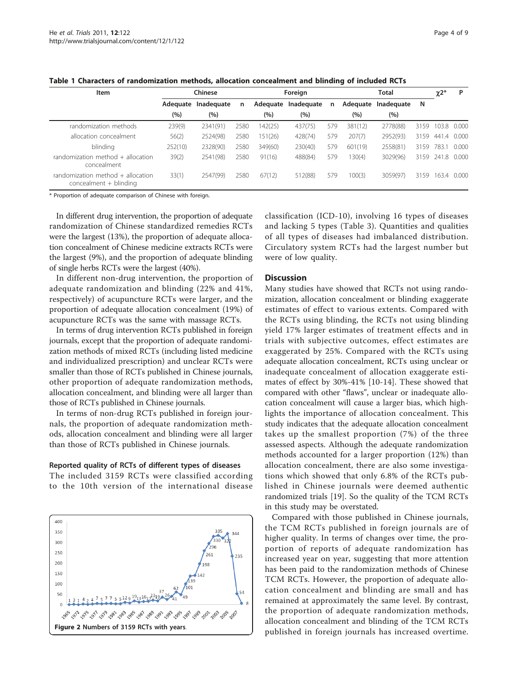| Item                                                          |          | Chinese    |      |          | Foreign    |     | $\chi$ 2* | P          |      |            |       |
|---------------------------------------------------------------|----------|------------|------|----------|------------|-----|-----------|------------|------|------------|-------|
|                                                               | Adequate | Inadequate | n    | Adequate | Inadequate | n   | Adequate  | Inadequate | N    |            |       |
|                                                               | (%)      | (%)        |      | (%)      | (%)        |     | (%)       | (%)        |      |            |       |
| randomization methods                                         | 239(9)   | 2341(91)   | 2580 | 142(25)  | 437(75)    | 579 | 381(12)   | 2778(88)   | 3159 | 103.8      | 0.000 |
| allocation concealment                                        | 56(2)    | 2524(98)   | 2580 | 151(26)  | 428(74)    | 579 | 207(7)    | 2952(93)   | 3159 | 441.4      | 0.000 |
| blinding                                                      | 252(10)  | 2328(90)   | 2580 | 349(60)  | 230(40)    | 579 | 601(19)   | 2558(81)   | 3159 | 783.       | 0.000 |
| randomization method $+$ allocation<br>concealment            | 39(2)    | 2541(98)   | 2580 | 91(16)   | 488(84)    | 579 | 130(4)    | 3029(96)   | 3159 | l.8<br>241 | 0.000 |
| randomization method + allocation<br>$concealment + blinding$ | 33(1)    | 2547(99)   | 2580 | 67(12)   | 512(88)    | 579 | 100(3)    | 3059(97)   | 3159 | 163.4      | 0.000 |

<span id="page-3-0"></span>Table 1 Characters of randomization methods, allocation concealment and blinding of included RCTs

\* Proportion of adequate comparison of Chinese with foreign.

In different drug intervention, the proportion of adequate randomization of Chinese standardized remedies RCTs were the largest (13%), the proportion of adequate allocation concealment of Chinese medicine extracts RCTs were the largest (9%), and the proportion of adequate blinding of single herbs RCTs were the largest (40%).

In different non-drug intervention, the proportion of adequate randomization and blinding (22% and 41%, respectively) of acupuncture RCTs were larger, and the proportion of adequate allocation concealment (19%) of acupuncture RCTs was the same with massage RCTs.

In terms of drug intervention RCTs published in foreign journals, except that the proportion of adequate randomization methods of mixed RCTs (including listed medicine and individualized prescription) and unclear RCTs were smaller than those of RCTs published in Chinese journals, other proportion of adequate randomization methods, allocation concealment, and blinding were all larger than those of RCTs published in Chinese journals.

In terms of non-drug RCTs published in foreign journals, the proportion of adequate randomization methods, allocation concealment and blinding were all larger than those of RCTs published in Chinese journals.

#### Reported quality of RCTs of different types of diseases

The included 3159 RCTs were classified according to the 10th version of the international disease



classification (ICD-10), involving 16 types of diseases and lacking 5 types (Table [3](#page-6-0)). Quantities and qualities of all types of diseases had imbalanced distribution. Circulatory system RCTs had the largest number but were of low quality.

# **Discussion**

Many studies have showed that RCTs not using randomization, allocation concealment or blinding exaggerate estimates of effect to various extents. Compared with the RCTs using blinding, the RCTs not using blinding yield 17% larger estimates of treatment effects and in trials with subjective outcomes, effect estimates are exaggerated by 25%. Compared with the RCTs using adequate allocation concealment, RCTs using unclear or inadequate concealment of allocation exaggerate estimates of effect by 30%-41% [[10](#page-7-0)-[14\]](#page-8-0). These showed that compared with other "flaws", unclear or inadequate allocation concealment will cause a larger bias, which highlights the importance of allocation concealment. This study indicates that the adequate allocation concealment takes up the smallest proportion (7%) of the three assessed aspects. Although the adequate randomization methods accounted for a larger proportion (12%) than allocation concealment, there are also some investigations which showed that only 6.8% of the RCTs published in Chinese journals were deemed authentic randomized trials [\[19](#page-8-0)]. So the quality of the TCM RCTs in this study may be overstated.

Compared with those published in Chinese journals, the TCM RCTs published in foreign journals are of higher quality. In terms of changes over time, the proportion of reports of adequate randomization has increased year on year, suggesting that more attention has been paid to the randomization methods of Chinese TCM RCTs. However, the proportion of adequate allocation concealment and blinding are small and has remained at approximately the same level. By contrast, the proportion of adequate randomization methods, allocation concealment and blinding of the TCM RCTs published in foreign journals has increased overtime.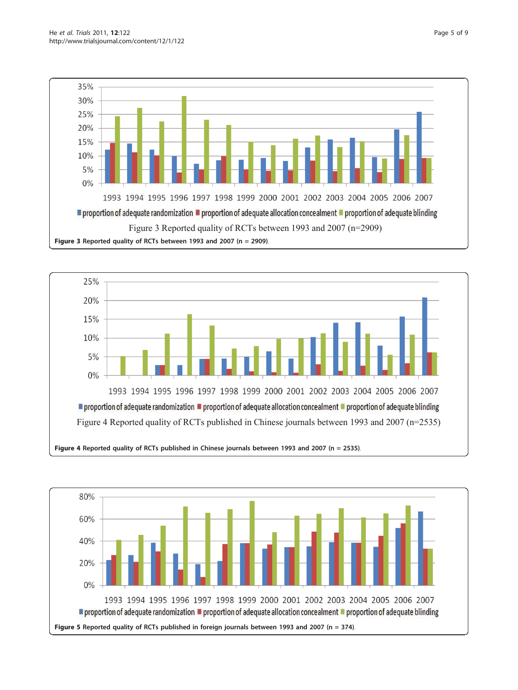<span id="page-4-0"></span>



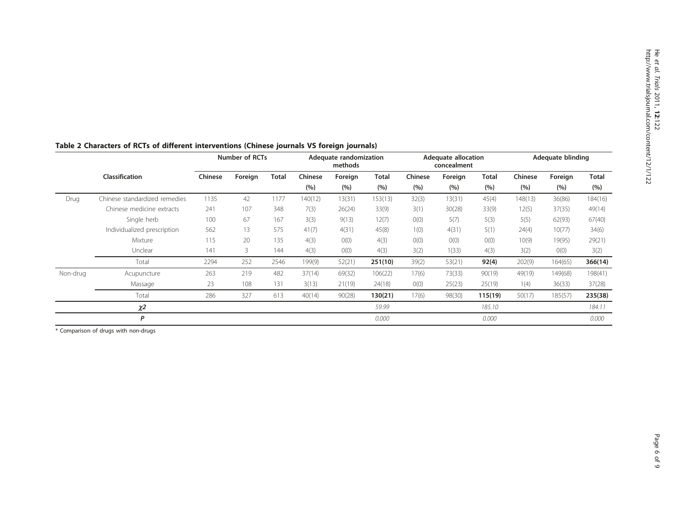|          |                               | <b>Number of RCTs</b> |         |              | Adequate randomization<br>methods |         |              | Adequate allocation<br>concealment |         |         | Adequate blinding |         |              |
|----------|-------------------------------|-----------------------|---------|--------------|-----------------------------------|---------|--------------|------------------------------------|---------|---------|-------------------|---------|--------------|
|          | Classification                | Chinese               | Foreign | <b>Total</b> | Chinese                           | Foreign | <b>Total</b> | Chinese                            | Foreign | Total   | Chinese           | Foreign | <b>Total</b> |
|          |                               |                       |         |              | (%)                               | (%)     | (%)          | (%)                                | (%)     | (%)     | (%)               | (%)     | (%)          |
| Drug     | Chinese standardized remedies | 1135                  | 42      | 1177         | 140(12)                           | 13(31)  | 153(13)      | 32(3)                              | 13(31)  | 45(4)   | 148(13)           | 36(86)  | 184(16)      |
|          | Chinese medicine extracts     | 241                   | 107     | 348          | 7(3)                              | 26(24)  | 33(9)        | 3(1)                               | 30(28)  | 33(9)   | 12(5)             | 37(35)  | 49(14)       |
|          | Single herb                   | 100                   | 67      | 167          | 3(3)                              | 9(13)   | 12(7)        | O(0)                               | 5(7)    | 5(3)    | 5(5)              | 62(93)  | 67(40)       |
|          | Individualized prescription   | 562                   | 13      | 575          | 41(7)                             | 4(31)   | 45(8)        | 1(0)                               | 4(31)   | 5(1)    | 24(4)             | 10(77)  | 34(6)        |
|          | Mixture                       | 115                   | 20      | 135          | 4(3)                              | O(0)    | 4(3)         | O(0)                               | O(0)    | O(0)    | 10(9)             | 19(95)  | 29(21)       |
|          | Unclear                       | 141                   | 3       | 144          | 4(3)                              | O(0)    | 4(3)         | 3(2)                               | 1(33)   | 4(3)    | 3(2)              | O(0)    | 3(2)         |
|          | Total                         | 2294                  | 252     | 2546         | 199(9)                            | 52(21)  | 251(10)      | 39(2)                              | 53(21)  | 92(4)   | 202(9)            | 164(65) | 366(14)      |
| Non-drug | Acupuncture                   | 263                   | 219     | 482          | 37(14)                            | 69(32)  | 106(22)      | 17(6)                              | 73(33)  | 90(19)  | 49(19)            | 149(68) | 198(41)      |
|          | Massage                       | 23                    | 108     | 131          | 3(13)                             | 21(19)  | 24(18)       | O(0)                               | 25(23)  | 25(19)  | 1(4)              | 36(33)  | 37(28)       |
|          | Total                         | 286                   | 327     | 613          | 40(14)                            | 90(28)  | 130(21)      | 17(6)                              | 98(30)  | 115(19) | 50(17)            | 185(57) | 235(38)      |
|          | $\chi$ <sup>2</sup>           |                       |         |              |                                   |         | 59.99        |                                    |         | 185.10  |                   |         | 184.11       |
|          | P                             |                       |         |              |                                   |         | 0.000        |                                    |         | 0.000   |                   |         | 0.000        |

# <span id="page-5-0"></span>Table 2 Characters of RCTs of different interventions (Chinese journals VS foreign journals)

\* Comparison of drugs with non-drugs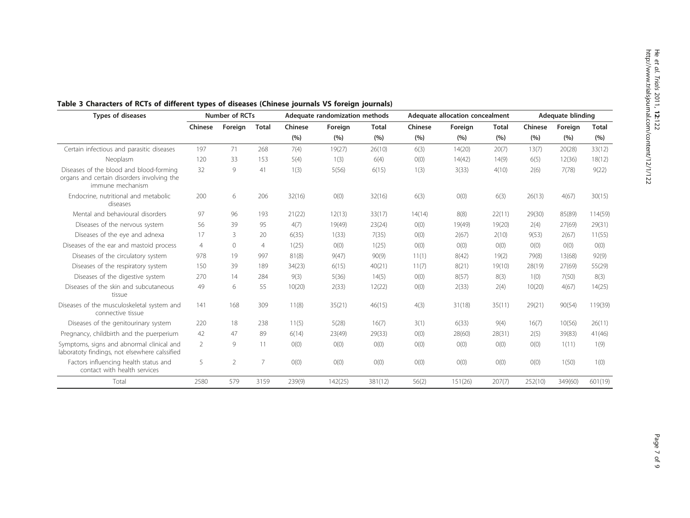| Types of diseases                                                                                         | Number of RCTs |                |                | Adequate randomization methods |         |              |         | Adequate allocation concealment | <b>Adequate blinding</b> |         |         |              |
|-----------------------------------------------------------------------------------------------------------|----------------|----------------|----------------|--------------------------------|---------|--------------|---------|---------------------------------|--------------------------|---------|---------|--------------|
|                                                                                                           | Chinese        | Foreign        | <b>Total</b>   | Chinese                        | Foreign | <b>Total</b> | Chinese | Foreign                         | <b>Total</b>             | Chinese | Foreign | <b>Total</b> |
|                                                                                                           |                |                |                | (%)                            | (%)     | (%)          | (%)     | (%)                             | (%)                      | (%)     | (%)     | (%)          |
| Certain infectious and parasitic diseases                                                                 | 197            | 71             | 268            | 7(4)                           | 19(27)  | 26(10)       | 6(3)    | 14(20)                          | 20(7)                    | 13(7)   | 20(28)  | 33(12)       |
| Neoplasm                                                                                                  | 120            | 33             | 153            | 5(4)                           | 1(3)    | 6(4)         | O(0)    | 14(42)                          | 14(9)                    | 6(5)    | 12(36)  | 18(12)       |
| Diseases of the blood and blood-forming<br>organs and certain disorders involving the<br>immune mechanism | 32             | 9              | 41             | 1(3)                           | 5(56)   | 6(15)        | 1(3)    | 3(33)                           | 4(10)                    | 2(6)    | 7(78)   | 9(22)        |
| Endocrine, nutritional and metabolic<br>diseases                                                          | 200            | 6              | 206            | 32(16)                         | O(0)    | 32(16)       | 6(3)    | O(0)                            | 6(3)                     | 26(13)  | 4(67)   | 30(15)       |
| Mental and behavioural disorders                                                                          | 97             | 96             | 193            | 21(22)                         | 12(13)  | 33(17)       | 14(14)  | 8(8)                            | 22(11)                   | 29(30)  | 85(89)  | 114(59)      |
| Diseases of the nervous system                                                                            | 56             | 39             | 95             | 4(7)                           | 19(49)  | 23(24)       | O(0)    | 19(49)                          | 19(20)                   | 2(4)    | 27(69)  | 29(31)       |
| Diseases of the eye and adnexa                                                                            | 17             | 3              | 20             | 6(35)                          | 1(33)   | 7(35)        | O(0)    | 2(67)                           | 2(10)                    | 9(53)   | 2(67)   | 11(55)       |
| Diseases of the ear and mastoid process                                                                   | $\overline{4}$ | $\Omega$       | $\overline{4}$ | 1(25)                          | O(0)    | 1(25)        | O(0)    | O(0)                            | O(0)                     | O(0)    | O(0)    | O(0)         |
| Diseases of the circulatory system                                                                        | 978            | 19             | 997            | 81(8)                          | 9(47)   | 90(9)        | 11(1)   | 8(42)                           | 19(2)                    | 79(8)   | 13(68)  | 92(9)        |
| Diseases of the respiratory system                                                                        | 150            | 39             | 189            | 34(23)                         | 6(15)   | 40(21)       | 11(7)   | 8(21)                           | 19(10)                   | 28(19)  | 27(69)  | 55(29)       |
| Diseases of the digestive system                                                                          | 270            | 14             | 284            | 9(3)                           | 5(36)   | 14(5)        | O(0)    | 8(57)                           | 8(3)                     | 1(0)    | 7(50)   | 8(3)         |
| Diseases of the skin and subcutaneous<br>tissue                                                           | 49             | 6              | 55             | 10(20)                         | 2(33)   | 12(22)       | O(0)    | 2(33)                           | 2(4)                     | 10(20)  | 4(67)   | 14(25)       |
| Diseases of the musculoskeletal system and<br>connective tissue                                           | 141            | 168            | 309            | 11(8)                          | 35(21)  | 46(15)       | 4(3)    | 31(18)                          | 35(11)                   | 29(21)  | 90(54)  | 119(39)      |
| Diseases of the genitourinary system                                                                      | 220            | 18             | 238            | 11(5)                          | 5(28)   | 16(7)        | 3(1)    | 6(33)                           | 9(4)                     | 16(7)   | 10(56)  | 26(11)       |
| Pregnancy, childbirth and the puerperium                                                                  | 42             | 47             | 89             | 6(14)                          | 23(49)  | 29(33)       | O(0)    | 28(60)                          | 28(31)                   | 2(5)    | 39(83)  | 41(46)       |
| Symptoms, signs and abnormal clinical and<br>laboratoty findings, not elsewhere calssified                | $\overline{2}$ | 9              | 11             | O(0)                           | O(0)    | O(0)         | O(0)    | O(0)                            | O(0)                     | O(0)    | 1(11)   | 1(9)         |
| Factors influencing health status and<br>contact with health services                                     | 5              | $\overline{2}$ | 7              | O(0)                           | O(0)    | O(0)         | O(0)    | O(0)                            | O(0)                     | O(0)    | 1(50)   | 1(0)         |
| Total                                                                                                     | 2580           | 579            | 3159           | 239(9)                         | 142(25) | 381(12)      | 56(2)   | 151(26)                         | 207(7)                   | 252(10) | 349(60) | 601(19)      |

# <span id="page-6-0"></span>Table 3 Characters of RCTs of different types of diseases (Chinese journals VS foreign journals)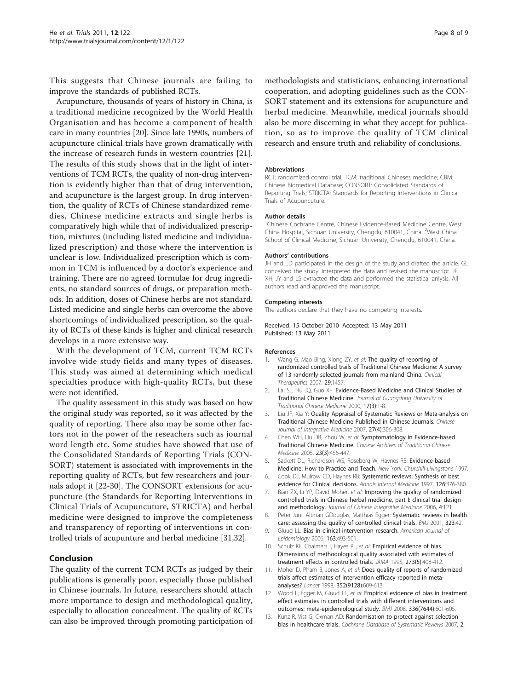<span id="page-7-0"></span>This suggests that Chinese journals are failing to improve the standards of published RCTs.

Acupuncture, thousands of years of history in China, is a traditional medicine recognized by the World Health Organisation and has become a component of health care in many countries [[20\]](#page-8-0). Since late 1990s, numbers of acupuncture clinical trials have grown dramatically with the increase of research funds in western countries [[21](#page-8-0)]. The results of this study shows that in the light of interventions of TCM RCTs, the quality of non-drug intervention is evidently higher than that of drug intervention, and acupuncture is the largest group. In drug intervention, the quality of RCTs of Chinese standardized remedies, Chinese medicine extracts and single herbs is comparatively high while that of individualized prescription, mixtures (including listed medicine and individualized prescription) and those where the intervention is unclear is low. Individualized prescription which is common in TCM is influenced by a doctor's experience and training. There are no agreed formulae for drug ingredients, no standard sources of drugs, or preparation methods. In addition, doses of Chinese herbs are not standard. Listed medicine and single herbs can overcome the above shortcomings of individualized prescription, so the quality of RCTs of these kinds is higher and clinical research develops in a more extensive way.

With the development of TCM, current TCM RCTs involve wide study fields and many types of diseases. This study was aimed at determining which medical specialties produce with high-quality RCTs, but these were not identified.

The quality assessment in this study was based on how the original study was reported, so it was affected by the quality of reporting. There also may be some other factors not in the power of the reseachers such as journal word length etc. Some studies have showed that use of the Consolidated Standards of Reporting Trials (CON-SORT) statement is associated with improvements in the reporting quality of RCTs, but few researchers and journals adopt it [\[22-30](#page-8-0)]. The CONSORT extensions for acupuncture (the Standards for Reporting Interventions in Clinical Trials of Acupuncuture, STRICTA) and herbal medicine were designed to improve the completeness and transparency of reporting of interventions in controlled trials of acupunture and herbal medicine [\[31,32\]](#page-8-0).

# Conclusion

The quality of the current TCM RCTs as judged by their publications is generally poor, especially those published in Chinese journals. In future, researchers should attach more importance to design and methodological quality, especially to allocation concealment. The quality of RCTs can also be improved through promoting participation of

methodologists and statisticians, enhancing international cooperation, and adopting guidelines such as the CON-SORT statement and its extensions for acupuncture and herbal medicine. Meanwhile, medical journals should also be more discerning in what they accept for publication, so as to improve the quality of TCM clinical research and ensure truth and reliability of conclusions.

#### Abbreviations

RCT: randomized control trial; TCM: traditional Chineses medicine; CBM: Chinese Biomedical Database; CONSORT: Consolidated Standards of Reporting Trials; STRICTA: Standards for Reporting Interventions in Clinical Trials of Acupuncuture.

#### Author details

<sup>1</sup>Chinese Cochrane Centre, Chinese Evidence-Based Medicine Centre, West China Hospital, Sichuan University, Chengdu, 610041, China. <sup>2</sup>West China School of Clinical Medicine, Sichuan University, Chengdu, 610041, China.

#### Authors' contributions

JH and LD participated in the design of the study and drafted the article. GL conceived the study, interpreted the data and revised the manuscript. JF, XH, JY and LS extracted the data and performed the statistical anlysis. All authors read and approved the manuscript.

#### Competing interests

The authors declare that they have no competing interests.

Received: 15 October 2010 Accepted: 13 May 2011 Published: 13 May 2011

#### References

- 1. Wang G, Mao Bing, Xiong ZY, et al: The quality of reporting of randomized controlled trails of Traditional Chinese Medicine: A survey of 13 randomly selected journals from mainland China. Clinical Therapeutics 2007, 29:1457.
- 2. Lai SL, Hu JQ, Guo XF: Evidence-Based Medicine and Clinical Studies of Traditional Chinese Medicine. Journal of Guangdong University of Traditional Chinese Medicine 2000, 17(3):1-8.
- 3. Liu JP, Xia Y: Quality Appraisal of Systematic Reviews or Meta-analysis on Traditional Chinese Medicine Published in Chinese Journals. Chinese Journal of Integrative Medicine 2007, 27(4):306-308.
- 4. Chen WH, Liu DB, Zhou W, et al: Symptomatology in Evidence-based Traditional Chinese Medicine. Chinese Archives of Traditional Chinese Medicine 2005, 23(3):456-447.
- 5. Sackett DL, Richardson WS, Roseberg W, Haynes RB: Evidence-based Medicine: How to Practice and Teach. New York: Churchill Livingstone 1997.
- 6. Cook DJ, Mulrow CD, Haynes RB: Systematic reviews: Synthesis of best evidence for Clinical decisions. Annals Internal Medicine 1997, 126:376-380.
- Bian ZX, Li YP, David Moher, et al: Improving the quality of randomized controlled trials in Chinese herbal medicine, part I: clinical trial design and methodology. Journal of Chinese Integrative Medicine 2006, 4:121.
- 8. Peter Juni, Altman GDouglas, Matthias Egger: [Systematic reviews in health](http://www.ncbi.nlm.nih.gov/pubmed/11440947?dopt=Abstract) [care: assessing the quality of controlled clinical trials.](http://www.ncbi.nlm.nih.gov/pubmed/11440947?dopt=Abstract) BMJ 2001, 323:42.
- 9. Gluud LL: [Bias in clinical intervention research.](http://www.ncbi.nlm.nih.gov/pubmed/16443796?dopt=Abstract) American Journal of Epidemiology 2006, 163:493-501.
- 10. Schulz KF, Chalmers I, Hayes RJ, et al: [Empirical evidence of bias.](http://www.ncbi.nlm.nih.gov/pubmed/7823387?dopt=Abstract) [Dimensions of methodological quality associated with estimates of](http://www.ncbi.nlm.nih.gov/pubmed/7823387?dopt=Abstract) [treatment effects in controlled trials.](http://www.ncbi.nlm.nih.gov/pubmed/7823387?dopt=Abstract) JAMA 1995, 273(5):408-412.
- 11. Moher D, Pham B, Jones A, et al: [Does quality of reports of randomized](http://www.ncbi.nlm.nih.gov/pubmed/9746022?dopt=Abstract) [trials affect estimates of intervention efficacy reported in meta](http://www.ncbi.nlm.nih.gov/pubmed/9746022?dopt=Abstract)[analyses?](http://www.ncbi.nlm.nih.gov/pubmed/9746022?dopt=Abstract) Lancet 1998, 352(9128):609-613.
- 12. Wood L, Egger M, Gluud LL, et al: [Empirical evidence of bias in treatment](http://www.ncbi.nlm.nih.gov/pubmed/18316340?dopt=Abstract) [effect estimates in controlled trials with different interventions and](http://www.ncbi.nlm.nih.gov/pubmed/18316340?dopt=Abstract) [outcomes: meta-epidemiological study.](http://www.ncbi.nlm.nih.gov/pubmed/18316340?dopt=Abstract) BMJ 2008, 336(7644):601-605.
- 13. Kunz R, Vist G, Oxman AD: Randomisation to protect against selection bias in healthcare trials. Cochrane Database of Systematic Reviews 2007, 2.